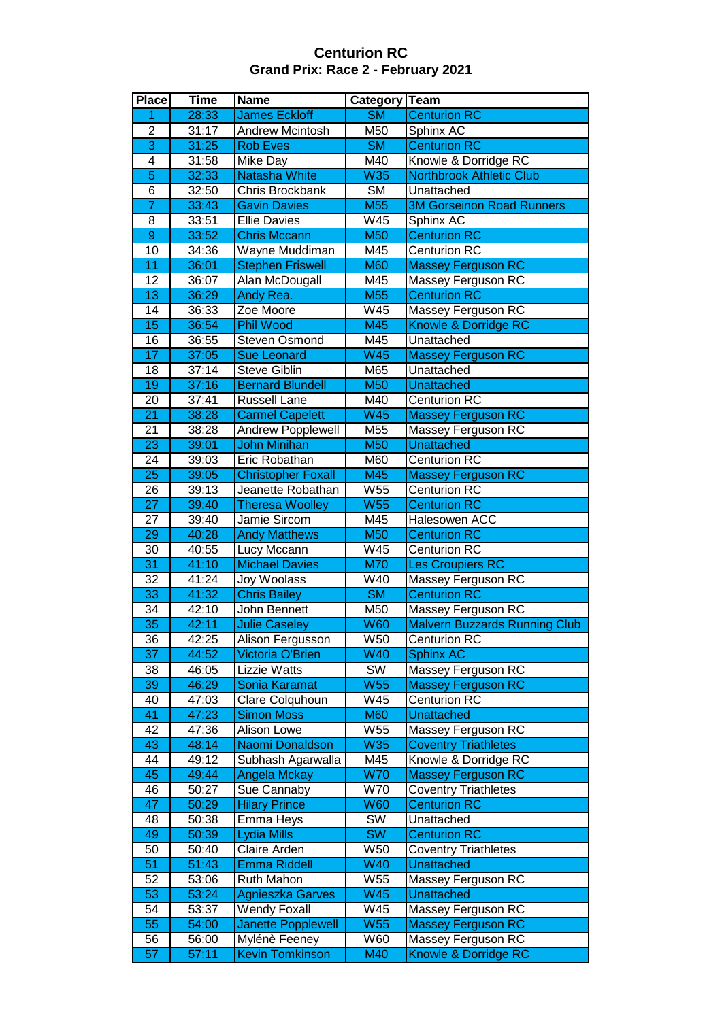## **Centurion RC Grand Prix: Race 2 - February 2021**

| <b>Place</b>            | <b>Time</b> | <b>Name</b>               | Category               | <b>Team</b>                          |
|-------------------------|-------------|---------------------------|------------------------|--------------------------------------|
| 1                       | 28:33       | <b>James Eckloff</b>      | $\overline{\text{SM}}$ | <b>Centurion RC</b>                  |
| $\overline{\mathbf{c}}$ | 31:17       | <b>Andrew Mcintosh</b>    | M50                    | Sphinx AC                            |
| $\overline{3}$          | 31:25       | <b>Rob Eves</b>           | $\overline{\text{SM}}$ | <b>Centurion RC</b>                  |
| 4                       | 31:58       | Mike Day                  | M40                    | Knowle & Dorridge RC                 |
| $\overline{5}$          | 32:33       | <b>Natasha White</b>      | W35                    | <b>Northbrook Athletic Club</b>      |
| 6                       | 32:50       | Chris Brockbank           | <b>SM</b>              | Unattached                           |
| $\overline{7}$          | 33:43       | <b>Gavin Davies</b>       | M <sub>55</sub>        | <b>3M Gorseinon Road Runners</b>     |
| 8                       | 33:51       | <b>Ellie Davies</b>       | W45                    | Sphinx AC                            |
|                         |             |                           |                        | <b>Centurion RC</b>                  |
| $\overline{9}$          | 33:52       | <b>Chris Mccann</b>       | <b>M50</b>             |                                      |
| $\overline{10}$         | 34:36       | Wayne Muddiman            | M45                    | <b>Centurion RC</b>                  |
| $\overline{11}$         | 36:01       | <b>Stephen Friswell</b>   | <b>M60</b>             | <b>Massey Ferguson RC</b>            |
| 12                      | 36:07       | Alan McDougall            | M45                    | Massey Ferguson RC                   |
| $\overline{13}$         | 36:29       | Andy Rea.                 | <b>M55</b>             | <b>Centurion RC</b>                  |
| 14                      | 36:33       | Zoe Moore                 | W45                    | Massey Ferguson RC                   |
| 15                      | 36:54       | <b>Phil Wood</b>          | M45                    | Knowle & Dorridge RC                 |
| 16                      | 36:55       | <b>Steven Osmond</b>      | M45                    | Unattached                           |
| $\overline{17}$         | 37:05       | <b>Sue Leonard</b>        | <b>W45</b>             | <b>Massey Ferguson RC</b>            |
| 18                      | 37:14       | <b>Steve Giblin</b>       | M65                    | Unattached                           |
| 19                      | 37:16       | <b>Bernard Blundell</b>   | M50                    | <b>Unattached</b>                    |
| 20                      | 37:41       | <b>Russell Lane</b>       | M40                    | <b>Centurion RC</b>                  |
| $\overline{21}$         | 38:28       | <b>Carmel Capelett</b>    | <b>W45</b>             | <b>Massey Ferguson RC</b>            |
| 21                      | 38:28       | <b>Andrew Popplewell</b>  | M55                    | Massey Ferguson RC                   |
| $\overline{23}$         | 39:01       | <b>John Minihan</b>       | <b>M50</b>             | <b>Unattached</b>                    |
| 24                      | 39:03       | Eric Robathan             | M60                    | <b>Centurion RC</b>                  |
| $\overline{25}$         | 39:05       | <b>Christopher Foxall</b> | M45                    | <b>Massey Ferguson RC</b>            |
| 26                      | 39:13       | Jeanette Robathan         | W55                    | Centurion RC                         |
| $\overline{27}$         |             |                           |                        |                                      |
|                         | 39:40       | <b>Theresa Woolley</b>    | <b>W55</b>             | <b>Centurion RC</b>                  |
| 27                      | 39:40       | Jamie Sircom              | M45                    | Halesowen ACC                        |
| 29                      | 40:28       | <b>Andy Matthews</b>      | M50                    | <b>Centurion RC</b>                  |
| $\overline{30}$         | 40:55       | Lucy Mccann               | W45                    | Centurion RC                         |
| $\overline{31}$         | 41:10       | <b>Michael Davies</b>     | <b>M70</b>             | <b>Les Croupiers RC</b>              |
| 32                      | 41:24       | Joy Woolass               | W40                    | Massey Ferguson RC                   |
| $\overline{33}$         | 41:32       | <b>Chris Bailey</b>       | $\overline{\text{SM}}$ | <b>Centurion RC</b>                  |
| $\overline{34}$         | 42:10       | John Bennett              | M50                    | Massey Ferguson RC                   |
| $\overline{35}$         | 42:11       | <b>Julie Caseley</b>      | <b>W60</b>             | <b>Malvern Buzzards Running Club</b> |
| 36                      | 42:25       | Alison Fergusson          | VV50                   | Centurion RC                         |
| $\overline{37}$         | 44:52       | Victoria O'Brien          | W40                    | <b>Sphinx AC</b>                     |
| 38                      | 46:05       | Lizzie Watts              | SW                     | Massey Ferguson RC                   |
| 39                      | 46:29       | Sonia Karamat             | W55                    | <b>Massey Ferguson RC</b>            |
| 40                      | 47:03       | Clare Colquhoun           | W45                    | <b>Centurion RC</b>                  |
| 41                      | 47:23       | <b>Simon Moss</b>         | <b>M60</b>             | <b>Unattached</b>                    |
| 42                      | 47:36       | Alison Lowe               | W55                    | Massey Ferguson RC                   |
| 43                      | 48:14       | Naomi Donaldson           | <b>W35</b>             | <b>Coventry Triathletes</b>          |
| 44                      | 49:12       | Subhash Agarwalla         | M45                    | Knowle & Dorridge RC                 |
| 45                      | 49:44       | <b>Angela Mckay</b>       | <b>W70</b>             | <b>Massey Ferguson RC</b>            |
| 46                      | 50:27       | Sue Cannaby               | <b>W70</b>             | <b>Coventry Triathletes</b>          |
| 47                      | 50:29       | <b>Hilary Prince</b>      | <b>W60</b>             | <b>Centurion RC</b>                  |
| 48                      | 50:38       |                           | SW                     | Unattached                           |
|                         |             | Emma Heys                 |                        |                                      |
| 49                      | 50:39       | <b>Lydia Mills</b>        | <b>SW</b>              | <b>Centurion RC</b>                  |
| 50                      | 50:40       | Claire Arden              | W50                    | <b>Coventry Triathletes</b>          |
| 51                      | 51:43       | <b>Emma Riddell</b>       | <b>W40</b>             | <b>Unattached</b>                    |
| 52                      | 53:06       | Ruth Mahon                | W55                    | Massey Ferguson RC                   |
| 53                      | 53:24       | Agnieszka Garves          | <b>W45</b>             | <b>Unattached</b>                    |
| 54                      | 53:37       | <b>Wendy Foxall</b>       | W45                    | Massey Ferguson RC                   |
| 55                      | 54:00       | <b>Janette Popplewell</b> | <b>W55</b>             | <b>Massey Ferguson RC</b>            |
| 56                      | 56:00       | Mylénè Feeney             | W60                    | Massey Ferguson RC                   |
| 57                      | 57:11       | <b>Kevin Tomkinson</b>    | M40                    | Knowle & Dorridge RC                 |